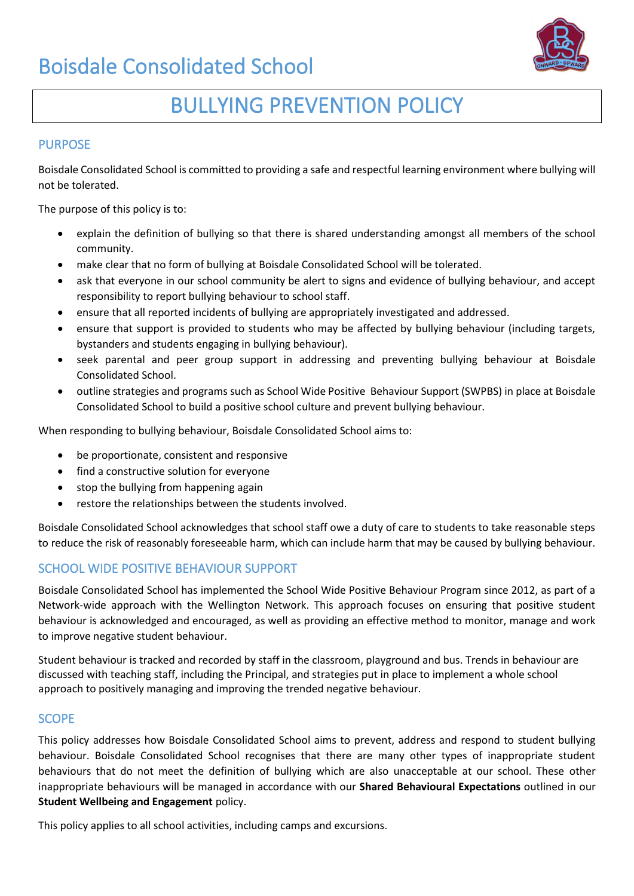

# BULLYING PREVENTION POLICY

### PURPOSE

Boisdale Consolidated School is committed to providing a safe and respectful learning environment where bullying will not be tolerated.

The purpose of this policy is to:

- explain the definition of bullying so that there is shared understanding amongst all members of the school community.
- make clear that no form of bullying at Boisdale Consolidated School will be tolerated.
- ask that everyone in our school community be alert to signs and evidence of bullying behaviour, and accept responsibility to report bullying behaviour to school staff.
- ensure that all reported incidents of bullying are appropriately investigated and addressed.
- ensure that support is provided to students who may be affected by bullying behaviour (including targets, bystanders and students engaging in bullying behaviour).
- seek parental and peer group support in addressing and preventing bullying behaviour at Boisdale Consolidated School.
- outline strategies and programs such as School Wide Positive Behaviour Support (SWPBS) in place at Boisdale Consolidated School to build a positive school culture and prevent bullying behaviour.

When responding to bullying behaviour, Boisdale Consolidated School aims to:

- be proportionate, consistent and responsive
- find a constructive solution for everyone
- stop the bullying from happening again
- restore the relationships between the students involved.

Boisdale Consolidated School acknowledges that school staff owe a duty of care to students to take reasonable steps to reduce the risk of reasonably foreseeable harm, which can include harm that may be caused by bullying behaviour.

### SCHOOL WIDE POSITIVE BEHAVIOUR SUPPORT

Boisdale Consolidated School has implemented the School Wide Positive Behaviour Program since 2012, as part of a Network-wide approach with the Wellington Network. This approach focuses on ensuring that positive student behaviour is acknowledged and encouraged, as well as providing an effective method to monitor, manage and work to improve negative student behaviour.

Student behaviour is tracked and recorded by staff in the classroom, playground and bus. Trends in behaviour are discussed with teaching staff, including the Principal, and strategies put in place to implement a whole school approach to positively managing and improving the trended negative behaviour.

### **SCOPE**

This policy addresses how Boisdale Consolidated School aims to prevent, address and respond to student bullying behaviour. Boisdale Consolidated School recognises that there are many other types of inappropriate student behaviours that do not meet the definition of bullying which are also unacceptable at our school. These other inappropriate behaviours will be managed in accordance with our **Shared Behavioural Expectations** outlined in our **Student Wellbeing and Engagement** policy.

This policy applies to all school activities, including camps and excursions.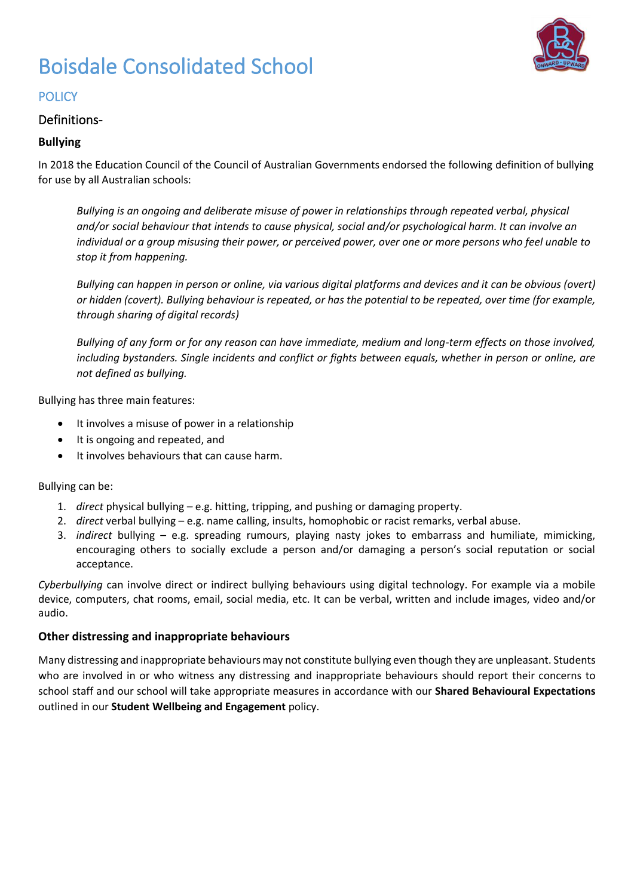

### **POLICY**

### Definitions-

### **Bullying**

In 2018 the Education Council of the Council of Australian Governments endorsed the following definition of bullying for use by all Australian schools:

*Bullying is an ongoing and deliberate misuse of power in relationships through repeated verbal, physical and/or social behaviour that intends to cause physical, social and/or psychological harm. It can involve an individual or a group misusing their power, or perceived power, over one or more persons who feel unable to stop it from happening.*

*Bullying can happen in person or online, via various digital platforms and devices and it can be obvious (overt) or hidden (covert). Bullying behaviour is repeated, or has the potential to be repeated, over time (for example, through sharing of digital records)*

*Bullying of any form or for any reason can have immediate, medium and long-term effects on those involved, including bystanders. Single incidents and conflict or fights between equals, whether in person or online, are not defined as bullying.*

Bullying has three main features:

- It involves a misuse of power in a relationship
- It is ongoing and repeated, and
- It involves behaviours that can cause harm.

Bullying can be:

- 1. *direct* physical bullying e.g. hitting, tripping, and pushing or damaging property.
- 2. *direct* verbal bullying e.g. name calling, insults, homophobic or racist remarks, verbal abuse.
- 3. *indirect* bullying e.g. spreading rumours, playing nasty jokes to embarrass and humiliate, mimicking, encouraging others to socially exclude a person and/or damaging a person's social reputation or social acceptance.

*Cyberbullying* can involve direct or indirect bullying behaviours using digital technology. For example via a mobile device, computers, chat rooms, email, social media, etc. It can be verbal, written and include images, video and/or audio.

### **Other distressing and inappropriate behaviours**

Many distressing and inappropriate behaviours may not constitute bullying even though they are unpleasant. Students who are involved in or who witness any distressing and inappropriate behaviours should report their concerns to school staff and our school will take appropriate measures in accordance with our **Shared Behavioural Expectations**  outlined in our **Student Wellbeing and Engagement** policy.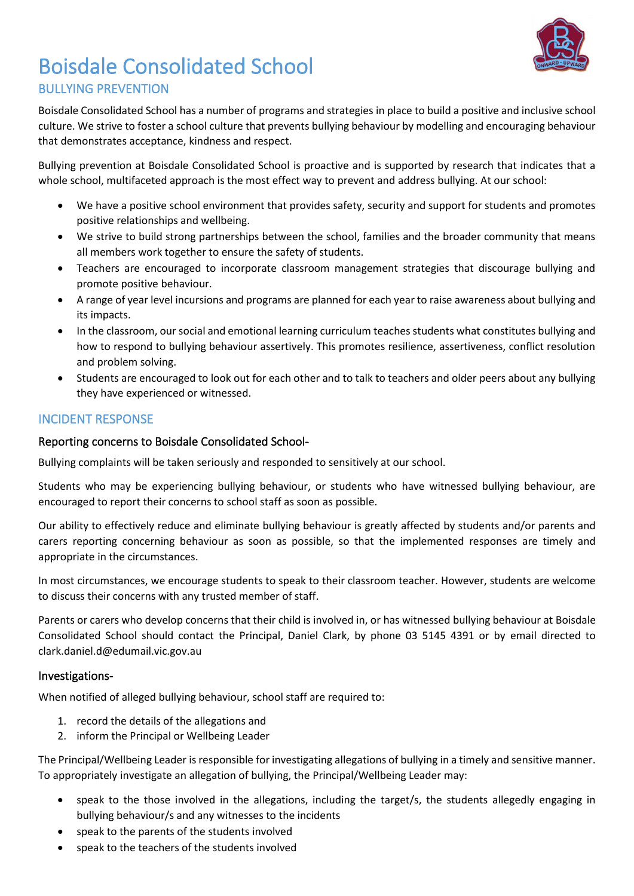

### Boisdale Consolidated School BULLYING PREVENTION

Boisdale Consolidated School has a number of programs and strategies in place to build a positive and inclusive school culture. We strive to foster a school culture that prevents bullying behaviour by modelling and encouraging behaviour that demonstrates acceptance, kindness and respect.

Bullying prevention at Boisdale Consolidated School is proactive and is supported by research that indicates that a whole school, multifaceted approach is the most effect way to prevent and address bullying. At our school:

- We have a positive school environment that provides safety, security and support for students and promotes positive relationships and wellbeing.
- We strive to build strong partnerships between the school, families and the broader community that means all members work together to ensure the safety of students.
- Teachers are encouraged to incorporate classroom management strategies that discourage bullying and promote positive behaviour.
- A range of year level incursions and programs are planned for each year to raise awareness about bullying and its impacts.
- In the classroom, our social and emotional learning curriculum teaches students what constitutes bullying and how to respond to bullying behaviour assertively. This promotes resilience, assertiveness, conflict resolution and problem solving.
- Students are encouraged to look out for each other and to talk to teachers and older peers about any bullying they have experienced or witnessed.

### INCIDENT RESPONSE

### Reporting concerns to Boisdale Consolidated School-

Bullying complaints will be taken seriously and responded to sensitively at our school.

Students who may be experiencing bullying behaviour, or students who have witnessed bullying behaviour, are encouraged to report their concerns to school staff as soon as possible.

Our ability to effectively reduce and eliminate bullying behaviour is greatly affected by students and/or parents and carers reporting concerning behaviour as soon as possible, so that the implemented responses are timely and appropriate in the circumstances.

In most circumstances, we encourage students to speak to their classroom teacher. However, students are welcome to discuss their concerns with any trusted member of staff.

Parents or carers who develop concerns that their child is involved in, or has witnessed bullying behaviour at Boisdale Consolidated School should contact the Principal, Daniel Clark, by phone 03 5145 4391 or by email directed to clark.daniel.d@edumail.vic.gov.au

### Investigations-

When notified of alleged bullying behaviour, school staff are required to:

- 1. record the details of the allegations and
- 2. inform the Principal or Wellbeing Leader

The Principal/Wellbeing Leader is responsible for investigating allegations of bullying in a timely and sensitive manner. To appropriately investigate an allegation of bullying, the Principal/Wellbeing Leader may:

- speak to the those involved in the allegations, including the target/s, the students allegedly engaging in bullying behaviour/s and any witnesses to the incidents
- speak to the parents of the students involved
- speak to the teachers of the students involved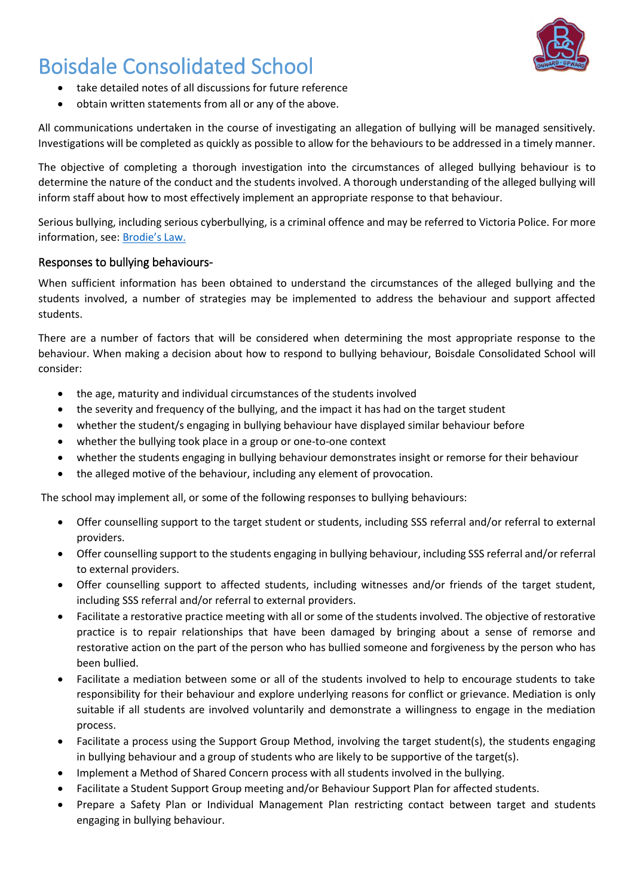

- take detailed notes of all discussions for future reference
- obtain written statements from all or any of the above.

All communications undertaken in the course of investigating an allegation of bullying will be managed sensitively. Investigations will be completed as quickly as possible to allow for the behaviours to be addressed in a timely manner.

The objective of completing a thorough investigation into the circumstances of alleged bullying behaviour is to determine the nature of the conduct and the students involved. A thorough understanding of the alleged bullying will inform staff about how to most effectively implement an appropriate response to that behaviour.

Serious bullying, including serious cyberbullying, is a criminal offence and may be referred to Victoria Police. For more information, see: [Brodie's Law.](http://www.education.vic.gov.au/about/programs/bullystoppers/Pages/advicesheetbrodieslaw.aspx)

### Responses to bullying behaviours-

When sufficient information has been obtained to understand the circumstances of the alleged bullying and the students involved, a number of strategies may be implemented to address the behaviour and support affected students.

There are a number of factors that will be considered when determining the most appropriate response to the behaviour. When making a decision about how to respond to bullying behaviour, Boisdale Consolidated School will consider:

- the age, maturity and individual circumstances of the students involved
- the severity and frequency of the bullying, and the impact it has had on the target student
- whether the student/s engaging in bullying behaviour have displayed similar behaviour before
- whether the bullying took place in a group or one-to-one context
- whether the students engaging in bullying behaviour demonstrates insight or remorse for their behaviour
- the alleged motive of the behaviour, including any element of provocation.

The school may implement all, or some of the following responses to bullying behaviours:

- Offer counselling support to the target student or students, including SSS referral and/or referral to external providers.
- Offer counselling support to the students engaging in bullying behaviour, including SSS referral and/or referral to external providers.
- Offer counselling support to affected students, including witnesses and/or friends of the target student, including SSS referral and/or referral to external providers.
- Facilitate a restorative practice meeting with all or some of the students involved. The objective of restorative practice is to repair relationships that have been damaged by bringing about a sense of remorse and restorative action on the part of the person who has bullied someone and forgiveness by the person who has been bullied.
- Facilitate a mediation between some or all of the students involved to help to encourage students to take responsibility for their behaviour and explore underlying reasons for conflict or grievance. Mediation is only suitable if all students are involved voluntarily and demonstrate a willingness to engage in the mediation process.
- Facilitate a process using the Support Group Method, involving the target student(s), the students engaging in bullying behaviour and a group of students who are likely to be supportive of the target(s).
- Implement a Method of Shared Concern process with all students involved in the bullying.
- Facilitate a Student Support Group meeting and/or Behaviour Support Plan for affected students.
- Prepare a Safety Plan or Individual Management Plan restricting contact between target and students engaging in bullying behaviour.